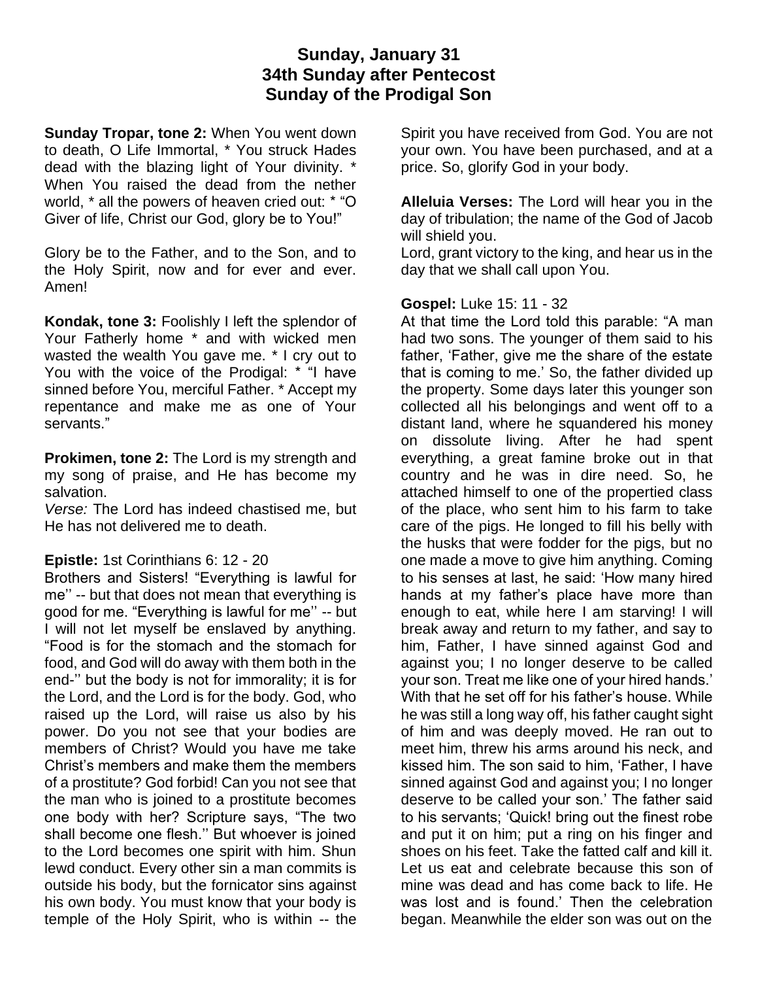## **Sunday, January 31 34th Sunday after Pentecost Sunday of the Prodigal Son**

**Sunday Tropar, tone 2:** When You went down to death, O Life Immortal, \* You struck Hades dead with the blazing light of Your divinity. \* When You raised the dead from the nether world, \* all the powers of heaven cried out: \* "O Giver of life, Christ our God, glory be to You!"

Glory be to the Father, and to the Son, and to the Holy Spirit, now and for ever and ever. Amen!

**Kondak, tone 3:** Foolishly I left the splendor of Your Fatherly home \* and with wicked men wasted the wealth You gave me. \* I cry out to You with the voice of the Prodigal: \* "I have sinned before You, merciful Father. \* Accept my repentance and make me as one of Your servants."

**Prokimen, tone 2:** The Lord is my strength and my song of praise, and He has become my salvation.

*Verse:* The Lord has indeed chastised me, but He has not delivered me to death.

## **Epistle:** 1st Corinthians 6: 12 - 20

Brothers and Sisters! "Everything is lawful for me'' -- but that does not mean that everything is good for me. "Everything is lawful for me'' -- but I will not let myself be enslaved by anything. "Food is for the stomach and the stomach for food, and God will do away with them both in the end-'' but the body is not for immorality; it is for the Lord, and the Lord is for the body. God, who raised up the Lord, will raise us also by his power. Do you not see that your bodies are members of Christ? Would you have me take Christ's members and make them the members of a prostitute? God forbid! Can you not see that the man who is joined to a prostitute becomes one body with her? Scripture says, "The two shall become one flesh.'' But whoever is joined to the Lord becomes one spirit with him. Shun lewd conduct. Every other sin a man commits is outside his body, but the fornicator sins against his own body. You must know that your body is temple of the Holy Spirit, who is within -- the

Spirit you have received from God. You are not your own. You have been purchased, and at a price. So, glorify God in your body.

**Alleluia Verses:** The Lord will hear you in the day of tribulation; the name of the God of Jacob will shield you.

Lord, grant victory to the king, and hear us in the day that we shall call upon You.

## **Gospel:** Luke 15: 11 - 32

At that time the Lord told this parable: "A man had two sons. The younger of them said to his father, 'Father, give me the share of the estate that is coming to me.' So, the father divided up the property. Some days later this younger son collected all his belongings and went off to a distant land, where he squandered his money on dissolute living. After he had spent everything, a great famine broke out in that country and he was in dire need. So, he attached himself to one of the propertied class of the place, who sent him to his farm to take care of the pigs. He longed to fill his belly with the husks that were fodder for the pigs, but no one made a move to give him anything. Coming to his senses at last, he said: 'How many hired hands at my father's place have more than enough to eat, while here I am starving! I will break away and return to my father, and say to him, Father, I have sinned against God and against you; I no longer deserve to be called your son. Treat me like one of your hired hands.' With that he set off for his father's house. While he was still a long way off, his father caught sight of him and was deeply moved. He ran out to meet him, threw his arms around his neck, and kissed him. The son said to him, 'Father, I have sinned against God and against you; I no longer deserve to be called your son.' The father said to his servants; 'Quick! bring out the finest robe and put it on him; put a ring on his finger and shoes on his feet. Take the fatted calf and kill it. Let us eat and celebrate because this son of mine was dead and has come back to life. He was lost and is found.' Then the celebration began. Meanwhile the elder son was out on the